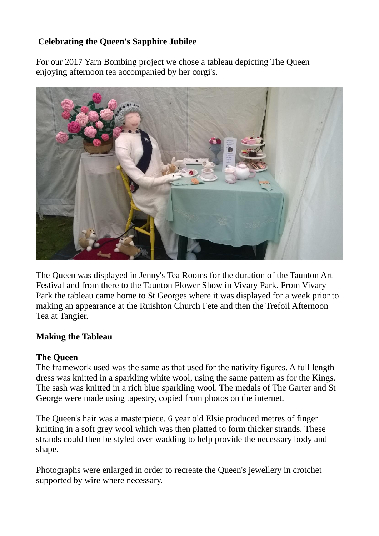## **Celebrating the Queen's Sapphire Jubilee**

For our 2017 Yarn Bombing project we chose a tableau depicting The Queen enjoying afternoon tea accompanied by her corgi's.



The Queen was displayed in Jenny's Tea Rooms for the duration of the Taunton Art Festival and from there to the Taunton Flower Show in Vivary Park. From Vivary Park the tableau came home to St Georges where it was displayed for a week prior to making an appearance at the Ruishton Church Fete and then the Trefoil Afternoon Tea at Tangier.

#### **Making the Tableau**

#### **The Queen**

The framework used was the same as that used for the nativity figures. A full length dress was knitted in a sparkling white wool, using the same pattern as for the Kings. The sash was knitted in a rich blue sparkling wool. The medals of The Garter and St George were made using tapestry, copied from photos on the internet.

The Queen's hair was a masterpiece. 6 year old Elsie produced metres of finger knitting in a soft grey wool which was then platted to form thicker strands. These strands could then be styled over wadding to help provide the necessary body and shape.

Photographs were enlarged in order to recreate the Queen's jewellery in crotchet supported by wire where necessary.